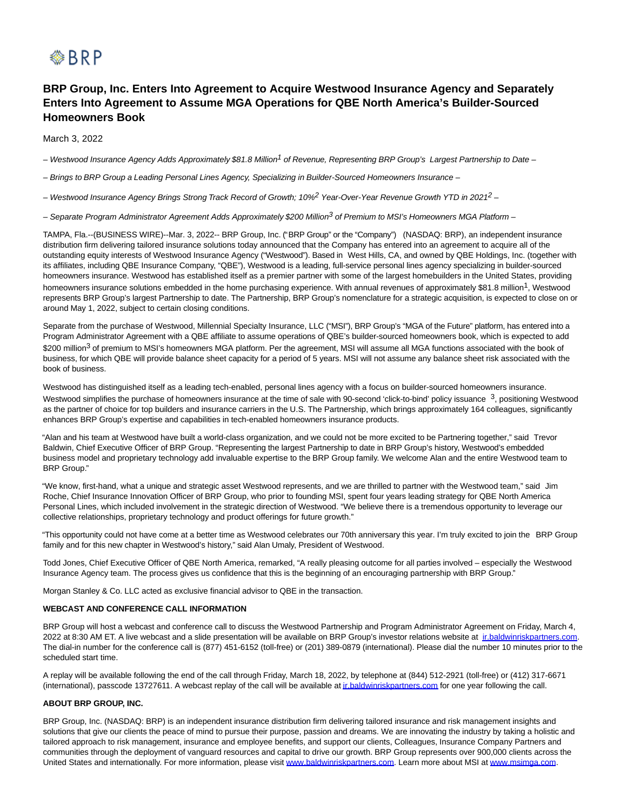

# **BRP Group, Inc. Enters Into Agreement to Acquire Westwood Insurance Agency and Separately Enters Into Agreement to Assume MGA Operations for QBE North America's Builder-Sourced Homeowners Book**

March 3, 2022

– Westwood Insurance Agency Adds Approximately \$81.8 Million<sup>1</sup> of Revenue, Representing BRP Group's Largest Partnership to Date –

– Brings to BRP Group a Leading Personal Lines Agency, Specializing in Builder-Sourced Homeowners Insurance –

– Westwood Insurance Agency Brings Strong Track Record of Growth; 10%2 Year-Over-Year Revenue Growth YTD in 20212 –

– Separate Program Administrator Agreement Adds Approximately \$200 Million<sup>3</sup> of Premium to MSI's Homeowners MGA Platform –

TAMPA, Fla.--(BUSINESS WIRE)--Mar. 3, 2022-- BRP Group, Inc. ("BRP Group" or the "Company") (NASDAQ: BRP), an independent insurance distribution firm delivering tailored insurance solutions today announced that the Company has entered into an agreement to acquire all of the outstanding equity interests of Westwood Insurance Agency ("Westwood"). Based in West Hills, CA, and owned by QBE Holdings, Inc. (together with its affiliates, including QBE Insurance Company, "QBE"), Westwood is a leading, full-service personal lines agency specializing in builder-sourced homeowners insurance. Westwood has established itself as a premier partner with some of the largest homebuilders in the United States, providing homeowners insurance solutions embedded in the home purchasing experience. With annual revenues of approximately \$81.8 million<sup>1</sup>, Westwood represents BRP Group's largest Partnership to date. The Partnership, BRP Group's nomenclature for a strategic acquisition, is expected to close on or around May 1, 2022, subject to certain closing conditions.

Separate from the purchase of Westwood, Millennial Specialty Insurance, LLC ("MSI"), BRP Group's "MGA of the Future" platform, has entered into a Program Administrator Agreement with a QBE affiliate to assume operations of QBE's builder-sourced homeowners book, which is expected to add \$200 million<sup>3</sup> of premium to MSI's homeowners MGA platform. Per the agreement, MSI will assume all MGA functions associated with the book of business, for which QBE will provide balance sheet capacity for a period of 5 years. MSI will not assume any balance sheet risk associated with the book of business.

Westwood has distinguished itself as a leading tech-enabled, personal lines agency with a focus on builder-sourced homeowners insurance. Westwood simplifies the purchase of homeowners insurance at the time of sale with 90-second 'click-to-bind' policy issuance <sup>3</sup>, positioning Westwood as the partner of choice for top builders and insurance carriers in the U.S. The Partnership, which brings approximately 164 colleagues, significantly enhances BRP Group's expertise and capabilities in tech-enabled homeowners insurance products.

"Alan and his team at Westwood have built a world-class organization, and we could not be more excited to be Partnering together," said Trevor Baldwin, Chief Executive Officer of BRP Group. "Representing the largest Partnership to date in BRP Group's history, Westwood's embedded business model and proprietary technology add invaluable expertise to the BRP Group family. We welcome Alan and the entire Westwood team to BRP Group."

"We know, first-hand, what a unique and strategic asset Westwood represents, and we are thrilled to partner with the Westwood team," said Jim Roche, Chief Insurance Innovation Officer of BRP Group, who prior to founding MSI, spent four years leading strategy for QBE North America Personal Lines, which included involvement in the strategic direction of Westwood. "We believe there is a tremendous opportunity to leverage our collective relationships, proprietary technology and product offerings for future growth."

"This opportunity could not have come at a better time as Westwood celebrates our 70th anniversary this year. I'm truly excited to join the BRP Group family and for this new chapter in Westwood's history," said Alan Umaly, President of Westwood.

Todd Jones, Chief Executive Officer of QBE North America, remarked, "A really pleasing outcome for all parties involved – especially the Westwood Insurance Agency team. The process gives us confidence that this is the beginning of an encouraging partnership with BRP Group."

Morgan Stanley & Co. LLC acted as exclusive financial advisor to QBE in the transaction.

### **WEBCAST AND CONFERENCE CALL INFORMATION**

BRP Group will host a webcast and conference call to discuss the Westwood Partnership and Program Administrator Agreement on Friday, March 4, 2022 at 8:30 AM ET. A live webcast and a slide presentation will be available on BRP Group's investor relations website at inbaldwinriskpartners.com. The dial-in number for the conference call is (877) 451-6152 (toll-free) or (201) 389-0879 (international). Please dial the number 10 minutes prior to the scheduled start time.

A replay will be available following the end of the call through Friday, March 18, 2022, by telephone at (844) 512-2921 (toll-free) or (412) 317-6671 (international), passcode 13727611. A webcast replay of the call will be available at *ir.baldwinriskpartners.com* for one year following the call.

## **ABOUT BRP GROUP, INC.**

BRP Group, Inc. (NASDAQ: BRP) is an independent insurance distribution firm delivering tailored insurance and risk management insights and solutions that give our clients the peace of mind to pursue their purpose, passion and dreams. We are innovating the industry by taking a holistic and tailored approach to risk management, insurance and employee benefits, and support our clients, Colleagues, Insurance Company Partners and communities through the deployment of vanguard resources and capital to drive our growth. BRP Group represents over 900,000 clients across the United States and internationally. For more information, please visit [www.baldwinriskpartners.com.](https://cts.businesswire.com/ct/CT?id=smartlink&url=http%3A%2F%2Fwww.baldwinriskpartners.com&esheet=52589533&newsitemid=20220303006018&lan=en-US&anchor=www.baldwinriskpartners.com&index=3&md5=a759bb965b2ecf78854f97aa37131881) Learn more about MSI at [www.msimga.com.](https://cts.businesswire.com/ct/CT?id=smartlink&url=http%3A%2F%2Fwww.msimga.com&esheet=52589533&newsitemid=20220303006018&lan=en-US&anchor=www.msimga.com&index=4&md5=8783259d3fc0925311a1979674351217)